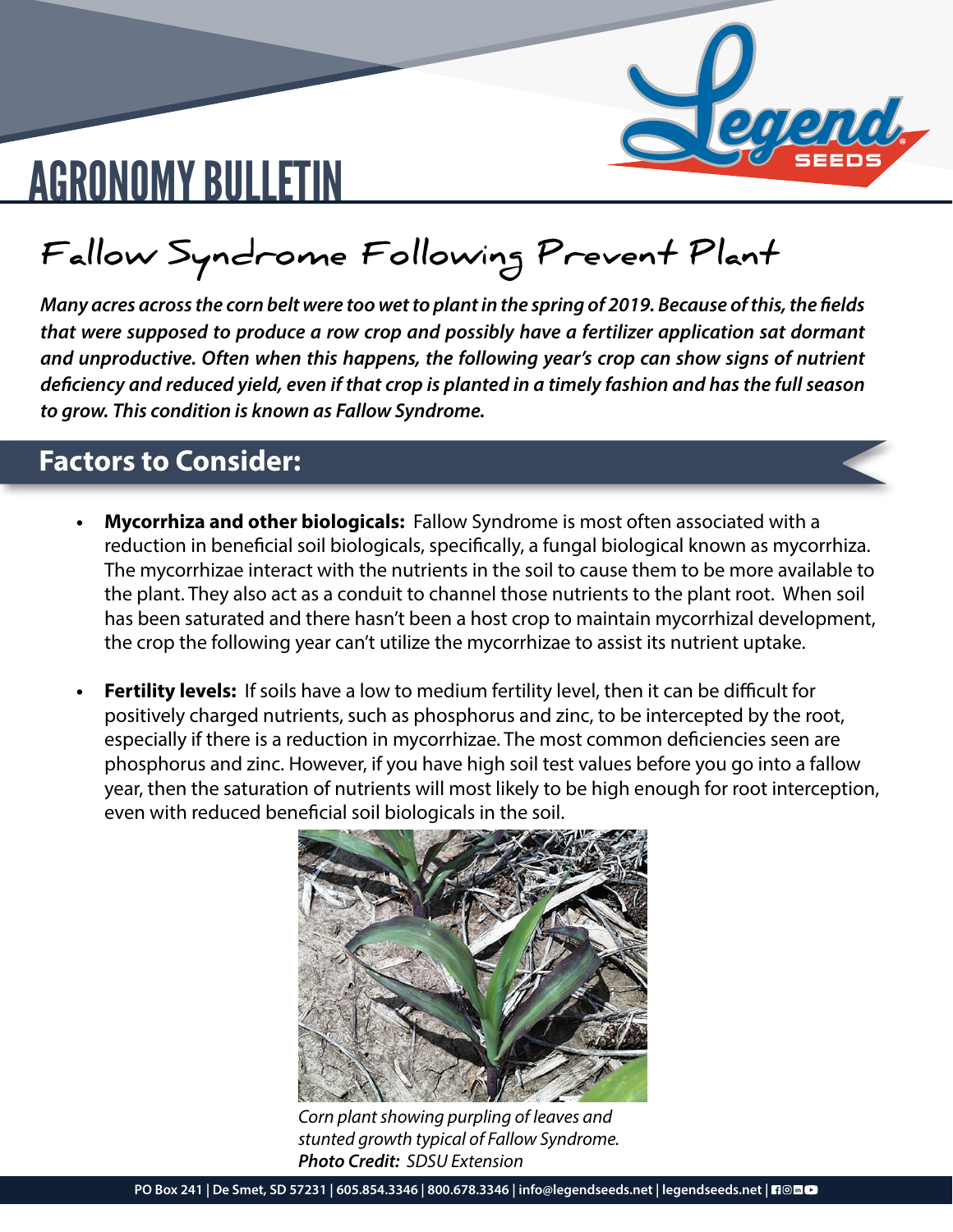

# AGRONOMY BULLETIN

### **Fallow Syndrome Following Prevent Plant**

*Many acres across the corn belt were too wet to plant in the spring of 2019. Because of this, the fields that were supposed to produce a row crop and possibly have a fertilizer application sat dormant and unproductive. Often when this happens, the following year's crop can show signs of nutrient deficiency and reduced yield, even if that crop is planted in a timely fashion and has the full season to grow. This condition is known as Fallow Syndrome.* 

#### **Factors to Consider:**

- **• Mycorrhiza and other biologicals:** Fallow Syndrome is most often associated with a reduction in beneficial soil biologicals, specifically, a fungal biological known as mycorrhiza. The mycorrhizae interact with the nutrients in the soil to cause them to be more available to the plant. They also act as a conduit to channel those nutrients to the plant root. When soil has been saturated and there hasn't been a host crop to maintain mycorrhizal development, the crop the following year can't utilize the mycorrhizae to assist its nutrient uptake.
- **• Fertility levels:** If soils have a low to medium fertility level, then it can be difficult for positively charged nutrients, such as phosphorus and zinc, to be intercepted by the root, especially if there is a reduction in mycorrhizae. The most common deficiencies seen are phosphorus and zinc. However, if you have high soil test values before you go into a fallow year, then the saturation of nutrients will most likely to be high enough for root interception, even with reduced beneficial soil biologicals in the soil.



*Corn plant showing purpling of leaves and stunted growth typical of Fallow Syndrome. Photo Credit: SDSU Extension*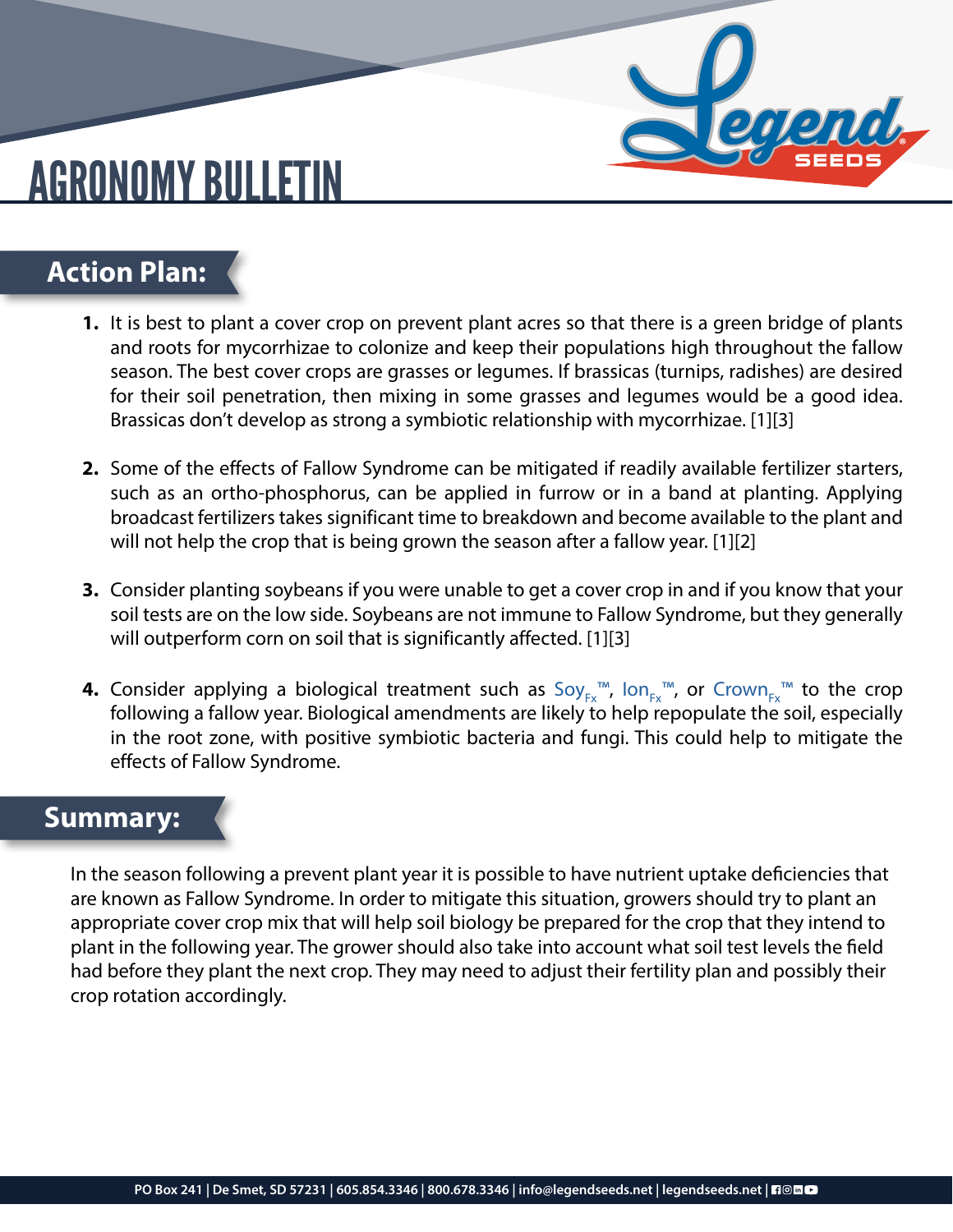## AGRONOMY BULLETIN

#### **Action Plan:**

- **1.** It is best to plant a cover crop on prevent plant acres so that there is a green bridge of plants and roots for mycorrhizae to colonize and keep their populations high throughout the fallow season. The best cover crops are grasses or legumes. If brassicas (turnips, radishes) are desired for their soil penetration, then mixing in some grasses and legumes would be a good idea. Brassicas don't develop as strong a symbiotic relationship with mycorrhizae. [1][3]
- **2.** Some of the effects of Fallow Syndrome can be mitigated if readily available fertilizer starters, such as an ortho-phosphorus, can be applied in furrow or in a band at planting. Applying broadcast fertilizers takes significant time to breakdown and become available to the plant and will not help the crop that is being grown the season after a fallow year. [1][2]
- **3.** Consider planting soybeans if you were unable to get a cover crop in and if you know that your soil tests are on the low side. Soybeans are not immune to Fallow Syndrome, but they generally will outperform corn on soil that is significantly affected. [1][3]
- **4.** Consider applying a biological treatment such as Soy<sub>Fx</sub>™, Ion<sub>Fx</sub>™, or Crown<sub>Fx</sub>™ to the crop following a fallow year. Biological amendments are likely to help repopulate the soil, especially in the root zone, with positive symbiotic bacteria and fungi. This could help to mitigate the effects of Fallow Syndrome.

#### **Summary:**

In the season following a prevent plant year it is possible to have nutrient uptake deficiencies that are known as Fallow Syndrome. In order to mitigate this situation, growers should try to plant an appropriate cover crop mix that will help soil biology be prepared for the crop that they intend to plant in the following year. The grower should also take into account what soil test levels the field had before they plant the next crop. They may need to adjust their fertility plan and possibly their crop rotation accordingly.